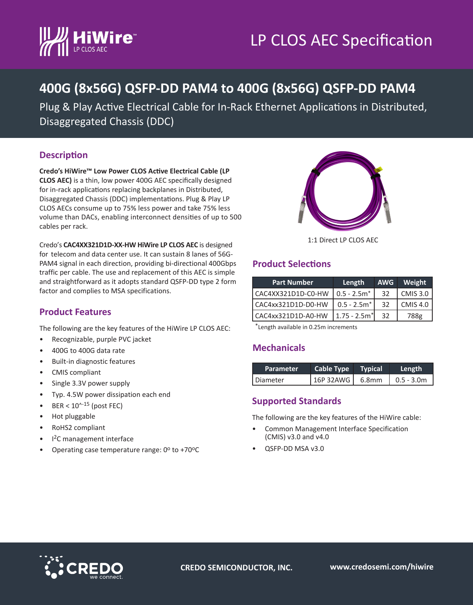



# **400G (8x56G) QSFP-DD PAM4 to 400G (8x56G) QSFP-DD PAM4**

Plug & Play Active Electrical Cable for In-Rack Ethernet Applications in Distributed, Disaggregated Chassis (DDC)

### **Description**

**Credo's HiWire™ Low Power CLOS Active Electrical Cable (LP CLOS AEC)** is a thin, low power 400G AEC specifically designed for in-rack applications replacing backplanes in Distributed, Disaggregated Chassis (DDC) implementations. Plug & Play LP CLOS AECs consume up to 75% less power and take 75% less volume than DACs, enabling interconnect densities of up to 500 cables per rack.



Credo's **CAC4XX321D1D-XX-HW HiWire LP CLOS AEC** is designed for telecom and data center use. It can sustain 8 lanes of 56G-PAM4 signal in each direction, providing bi-directional 400Gbps traffic per cable. The use and replacement of this AEC is simple and straightforward as it adopts standard QSFP-DD type 2 form factor and complies to MSA specifications.

## **Product Selections**

| <b>Part Number</b> | Length          | <b>AWG</b> | Weight          |
|--------------------|-----------------|------------|-----------------|
| CAC4XX321D1D-C0-HW | $0.5 - 2.5m^*$  | 32         | <b>CMIS 3.0</b> |
| CAC4xx321D1D-D0-HW | $0.5 - 2.5m^*$  | 32         | <b>CMIS 4.0</b> |
| CAC4xx321D1D-A0-HW | $1.75 - 2.5m^*$ | 32         | 788g            |

# **Product Features**

The following are the key features of the HiWire LP CLOS AEC:

- Recognizable, purple PVC jacket
- 400G to 400G data rate
- Built-in diagnostic features
- CMIS compliant
- Single 3.3V power supply
- Typ. 4.5W power dissipation each end
- BER <  $10^{(-15)}$  (post FEC)
- Hot pluggable
- RoHS2 compliant
- I2C management interface
- Operating case temperature range:  $0^{\circ}$  to +70 $^{\circ}$ C

#### \*Length available in 0.25m increments

### **Mechanicals**

| <b>Parameter</b> | Cable Type        | <b>Typical</b> | Length             |
|------------------|-------------------|----------------|--------------------|
| Diameter         | $16P$ 32AWG 6.8mm |                | $\vert$ 0.5 - 3.0m |

### **Supported Standards**

The following are the key features of the HiWire cable:

- Common Management Interface Specification (CMIS) v3.0 and v4.0
- QSFP-DD MSA v3.0